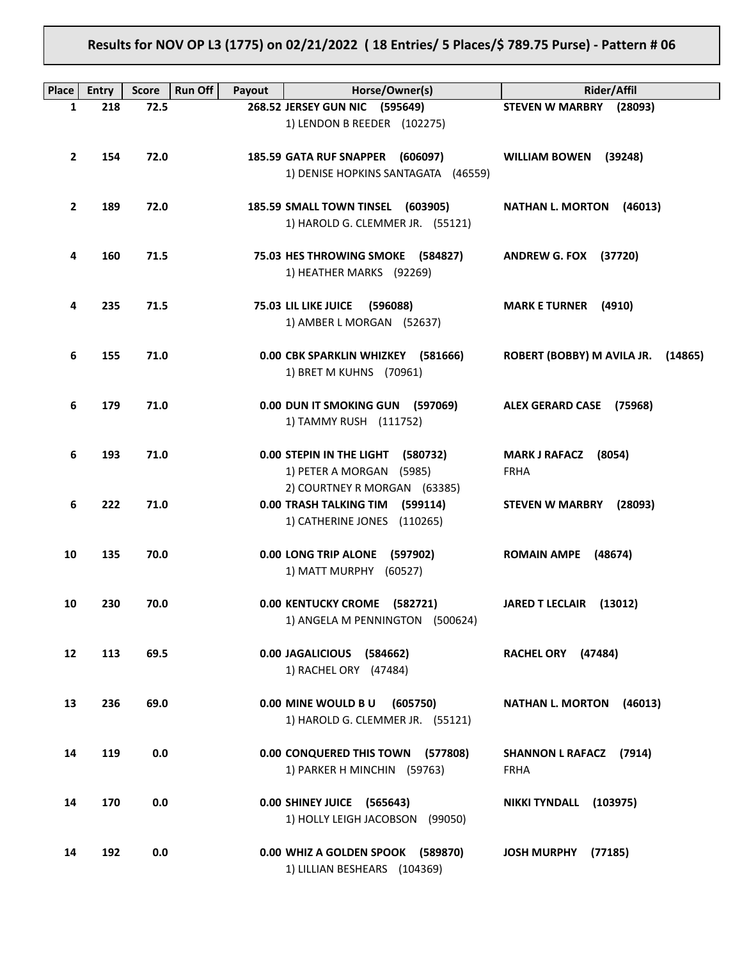# **Results for NOV OP L3 (1775) on 02/21/2022 ( 18 Entries/ 5 Places/\$ 789.75 Purse) - Pattern # 06**

| Place        | <b>Entry</b> | <b>Score</b> | Run Off | Payout | Horse/Owner(s)                                                                                    | <b>Rider/Affil</b>                               |
|--------------|--------------|--------------|---------|--------|---------------------------------------------------------------------------------------------------|--------------------------------------------------|
| $\mathbf{1}$ | 218          | 72.5         |         |        | 268.52 JERSEY GUN NIC (595649)                                                                    | <b>STEVEN W MARBRY</b><br>(28093)                |
|              |              |              |         |        | 1) LENDON B REEDER (102275)                                                                       |                                                  |
| $\mathbf{2}$ | 154          | 72.0         |         |        | <b>185.59 GATA RUF SNAPPER</b><br>(606097)<br>1) DENISE HOPKINS SANTAGATA (46559)                 | <b>WILLIAM BOWEN</b><br>(39248)                  |
| $\mathbf{2}$ | 189          | 72.0         |         |        | 185.59 SMALL TOWN TINSEL (603905)<br>1) HAROLD G. CLEMMER JR. (55121)                             | <b>NATHAN L. MORTON</b><br>(46013)               |
| 4            | 160          | 71.5         |         |        | 75.03 HES THROWING SMOKE (584827)<br>1) HEATHER MARKS (92269)                                     | <b>ANDREW G. FOX (37720)</b>                     |
| 4            | 235          | 71.5         |         |        | 75.03 LIL LIKE JUICE<br>(596088)<br>1) AMBER L MORGAN (52637)                                     | <b>MARK E TURNER</b><br>(4910)                   |
| 6            | 155          | 71.0         |         |        | 0.00 CBK SPARKLIN WHIZKEY (581666)<br>1) BRET M KUHNS (70961)                                     | ROBERT (BOBBY) M AVILA JR.<br>(14865)            |
| 6            | 179          | 71.0         |         |        | 0.00 DUN IT SMOKING GUN<br>(597069)<br>1) TAMMY RUSH (111752)                                     | <b>ALEX GERARD CASE</b><br>(75968)               |
| 6            | 193          | 71.0         |         |        | <b>0.00 STEPIN IN THE LIGHT</b><br>(580732)<br>1) PETER A MORGAN (5985)                           | <b>MARK J RAFACZ</b><br>(8054)<br><b>FRHA</b>    |
| 6            | 222          | 71.0         |         |        | 2) COURTNEY R MORGAN (63385)<br>0.00 TRASH TALKING TIM<br>(599114)<br>1) CATHERINE JONES (110265) | <b>STEVEN W MARBRY</b><br>(28093)                |
| 10           | 135          | 70.0         |         |        | 0.00 LONG TRIP ALONE<br>(597902)<br>1) MATT MURPHY<br>(60527)                                     | <b>ROMAIN AMPE</b><br>(48674)                    |
| 10           | 230          | 70.0         |         |        | 0.00 KENTUCKY CROME (582721)<br>1) ANGELA M PENNINGTON (500624)                                   | <b>JARED T LECLAIR</b><br>(13012)                |
| 12           | 113          | 69.5         |         |        | 0.00 JAGALICIOUS (584662)<br>1) RACHEL ORY (47484)                                                | RACHEL ORY (47484)                               |
| 13           | 236          | 69.0         |         |        | 0.00 MINE WOULD BU<br>(605750)<br>1) HAROLD G. CLEMMER JR. (55121)                                | <b>NATHAN L. MORTON</b><br>(46013)               |
| 14           | 119          | 0.0          |         |        | 0.00 CONQUERED THIS TOWN (577808)<br>1) PARKER H MINCHIN (59763)                                  | <b>SHANNON L RAFACZ</b><br>(7914)<br><b>FRHA</b> |
| 14           | 170          | 0.0          |         |        | 0.00 SHINEY JUICE (565643)<br>1) HOLLY LEIGH JACOBSON (99050)                                     | <b>NIKKI TYNDALL</b><br>(103975)                 |
| 14           | 192          | 0.0          |         |        | 0.00 WHIZ A GOLDEN SPOOK (589870)<br>1) LILLIAN BESHEARS (104369)                                 | <b>JOSH MURPHY</b><br>(77185)                    |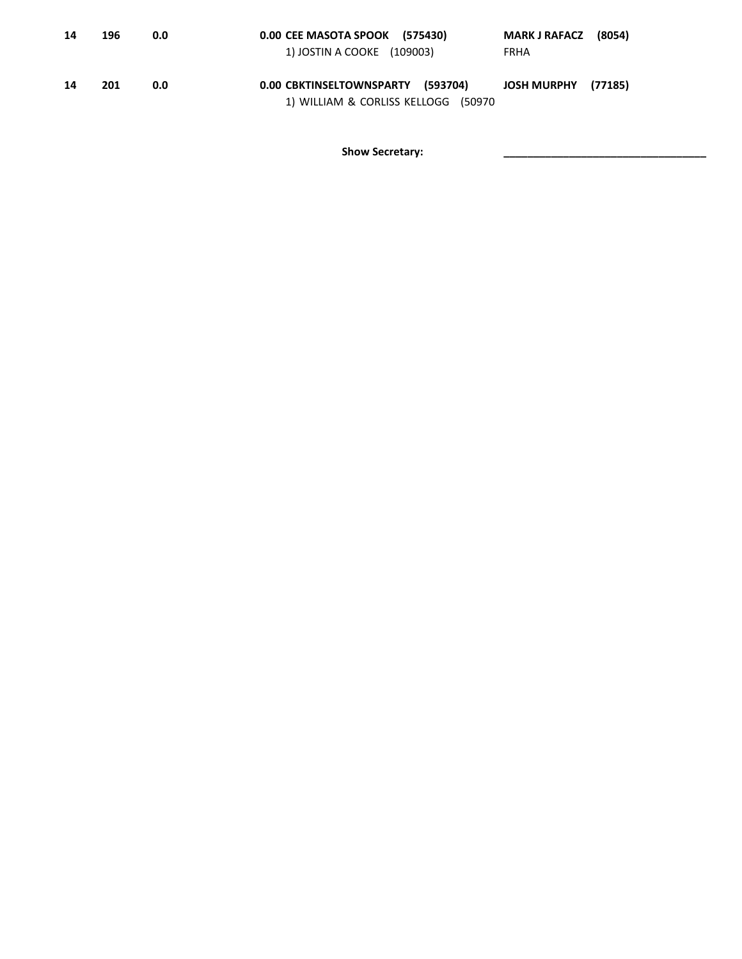| 14 | 196 | 0.0 | 0.00 CEE MASOTA SPOOK (575430)<br>1) JOSTIN A COOKE (109003)             | MARK J RAFACZ (8054)<br>FRHA |
|----|-----|-----|--------------------------------------------------------------------------|------------------------------|
| 14 | 201 | 0.0 | 0.00 CBKTINSELTOWNSPARTY (593704)<br>1) WILLIAM & CORLISS KELLOGG (50970 | JOSH MURPHY (77185)          |

Show Secretary: